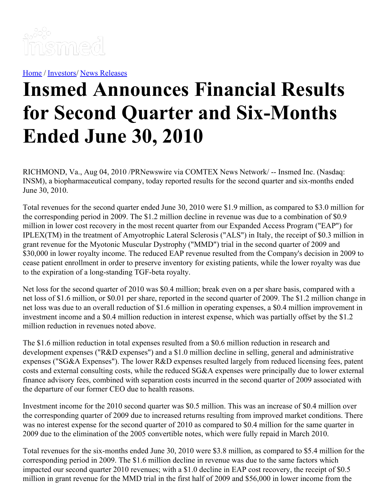

[Home](https://insmed.com/) / [Investors](https://investor.insmed.com/index)/ News [Releases](https://investor.insmed.com/releases)

## **Insmed Announces Financial Results for Second Quarter and Six-Months Ended June 30, 2010**

RICHMOND, Va., Aug 04, 2010 /PRNewswire via COMTEX News Network/ -- Insmed Inc. (Nasdaq: INSM), a biopharmaceutical company, today reported results for the second quarter and six-months ended June 30, 2010.

Total revenues for the second quarter ended June 30, 2010 were \$1.9 million, as compared to \$3.0 million for the corresponding period in 2009. The \$1.2 million decline in revenue was due to a combination of \$0.9 million in lower cost recovery in the most recent quarter from our Expanded Access Program ("EAP") for IPLEX(TM) in the treatment of Amyotrophic Lateral Sclerosis ("ALS") in Italy, the receipt of \$0.3 million in grant revenue for the Myotonic Muscular Dystrophy ("MMD") trial in the second quarter of 2009 and \$30,000 in lower royalty income. The reduced EAP revenue resulted from the Company's decision in 2009 to cease patient enrollment in order to preserve inventory for existing patients, while the lower royalty was due to the expiration of a long-standing TGF-beta royalty.

Net loss for the second quarter of 2010 was \$0.4 million; break even on a per share basis, compared with a net loss of \$1.6 million, or \$0.01 per share, reported in the second quarter of 2009. The \$1.2 million change in net loss was due to an overall reduction of \$1.6 million in operating expenses, a \$0.4 million improvement in investment income and a \$0.4 million reduction in interest expense, which was partially offset by the \$1.2 million reduction in revenues noted above.

The \$1.6 million reduction in total expenses resulted from a \$0.6 million reduction in research and development expenses ("R&D expenses") and a \$1.0 million decline in selling, general and administrative expenses ("SG&A Expenses"). The lower R&D expenses resulted largely from reduced licensing fees, patent costs and external consulting costs, while the reduced SG&A expenses were principally due to lower external finance advisory fees, combined with separation costs incurred in the second quarter of 2009 associated with the departure of our former CEO due to health reasons.

Investment income for the 2010 second quarter was \$0.5 million. This was an increase of \$0.4 million over the corresponding quarter of 2009 due to increased returns resulting from improved market conditions. There was no interest expense for the second quarter of 2010 as compared to \$0.4 million for the same quarter in 2009 due to the elimination of the 2005 convertible notes, which were fully repaid in March 2010.

Total revenues for the six-months ended June 30, 2010 were \$3.8 million, as compared to \$5.4 million for the corresponding period in 2009. The \$1.6 million decline in revenue was due to the same factors which impacted our second quarter 2010 revenues; with a \$1.0 decline in EAP cost recovery, the receipt of \$0.5 million in grant revenue for the MMD trial in the first half of 2009 and \$56,000 in lower income from the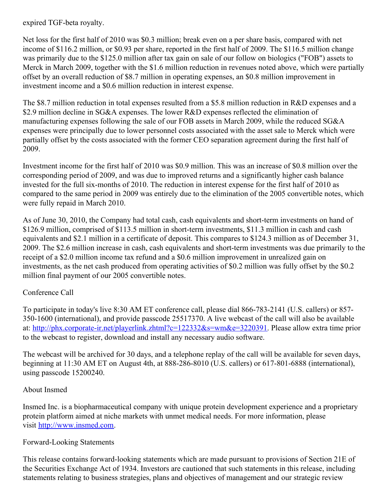expired TGF-beta royalty.

Net loss for the first half of 2010 was \$0.3 million; break even on a per share basis, compared with net income of \$116.2 million, or \$0.93 per share, reported in the first half of 2009. The \$116.5 million change was primarily due to the \$125.0 million after tax gain on sale of our follow on biologics ("FOB") assets to Merck in March 2009, together with the \$1.6 million reduction in revenues noted above, which were partially offset by an overall reduction of \$8.7 million in operating expenses, an \$0.8 million improvement in investment income and a \$0.6 million reduction in interest expense.

The \$8.7 million reduction in total expenses resulted from a \$5.8 million reduction in R&D expenses and a \$2.9 million decline in SG&A expenses. The lower R&D expenses reflected the elimination of manufacturing expenses following the sale of our FOB assets in March 2009, while the reduced SG&A expenses were principally due to lower personnel costs associated with the asset sale to Merck which were partially offset by the costs associated with the former CEO separation agreement during the first half of 2009.

Investment income for the first half of 2010 was \$0.9 million. This was an increase of \$0.8 million over the corresponding period of 2009, and was due to improved returns and a significantly higher cash balance invested for the full six-months of 2010. The reduction in interest expense for the first half of 2010 as compared to the same period in 2009 was entirely due to the elimination of the 2005 convertible notes, which were fully repaid in March 2010.

As of June 30, 2010, the Company had total cash, cash equivalents and short-term investments on hand of \$126.9 million, comprised of \$113.5 million in short-term investments, \$11.3 million in cash and cash equivalents and \$2.1 million in a certificate of deposit. This compares to \$124.3 million as of December 31, 2009. The \$2.6 million increase in cash, cash equivalents and short-term investments was due primarily to the receipt of a \$2.0 million income tax refund and a \$0.6 million improvement in unrealized gain on investments, as the net cash produced from operating activities of \$0.2 million was fully offset by the \$0.2 million final payment of our 2005 convertible notes.

## Conference Call

To participate in today's live 8:30 AM ET conference call, please dial 866-783-2141 (U.S. callers) or 857- 350-1600 (international), and provide passcode 25517370. A live webcast of the call will also be available at: <http://phx.corporate-ir.net/playerlink.zhtml?c=122332&s=wm&e=3220391>. Please allow extra time prior to the webcast to register, download and install any necessary audio software.

The webcast will be archived for 30 days, and a telephone replay of the call will be available for seven days, beginning at 11:30 AM ET on August 4th, at 888-286-8010 (U.S. callers) or 617-801-6888 (international), using passcode 15200240.

## About Insmed

Insmed Inc. is a biopharmaceutical company with unique protein development experience and a proprietary protein platform aimed at niche markets with unmet medical needs. For more information, please visit [http://www.insmed.com](http://www.insmed.com/).

## Forward-Looking Statements

This release contains forward-looking statements which are made pursuant to provisions of Section 21E of the Securities Exchange Act of 1934. Investors are cautioned that such statements in this release, including statements relating to business strategies, plans and objectives of management and our strategic review